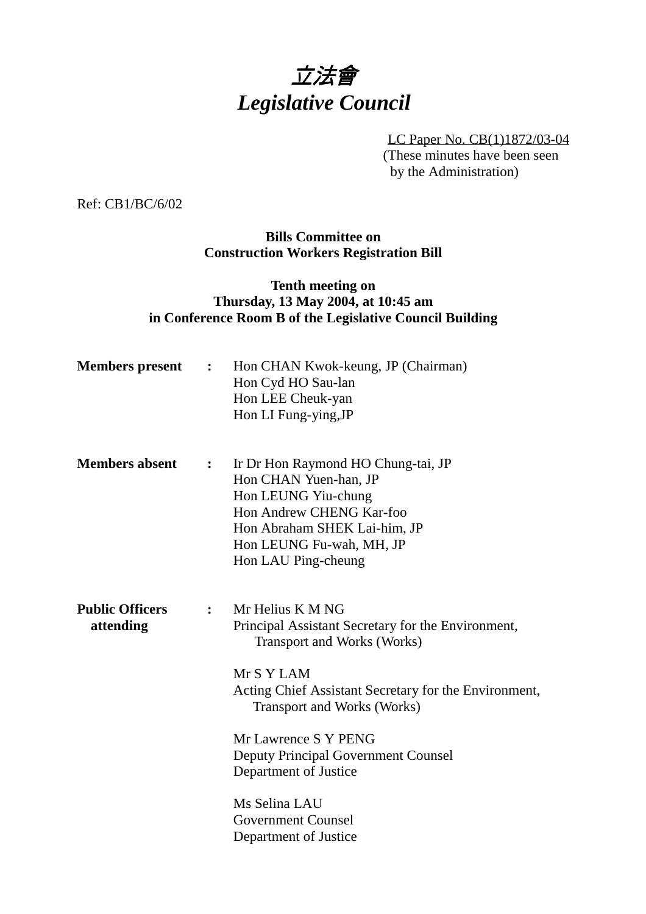# 立法會 *Legislative Council*

LC Paper No. CB(1)1872/03-04 (These minutes have been seen by the Administration)

Ref: CB1/BC/6/02

**Bills Committee on Construction Workers Registration Bill**

## **Tenth meeting on Thursday, 13 May 2004, at 10:45 am in Conference Room B of the Legislative Council Building**

| <b>Members</b> present              | $\ddot{\cdot}$   | Hon CHAN Kwok-keung, JP (Chairman)<br>Hon Cyd HO Sau-lan<br>Hon LEE Cheuk-yan<br>Hon LI Fung-ying, JP                                                                                                                                                                                                                                                                                           |
|-------------------------------------|------------------|-------------------------------------------------------------------------------------------------------------------------------------------------------------------------------------------------------------------------------------------------------------------------------------------------------------------------------------------------------------------------------------------------|
| <b>Members absent</b>               | $\ddot{\bullet}$ | Ir Dr Hon Raymond HO Chung-tai, JP<br>Hon CHAN Yuen-han, JP<br>Hon LEUNG Yiu-chung<br>Hon Andrew CHENG Kar-foo<br>Hon Abraham SHEK Lai-him, JP<br>Hon LEUNG Fu-wah, MH, JP<br>Hon LAU Ping-cheung                                                                                                                                                                                               |
| <b>Public Officers</b><br>attending | $\ddot{\cdot}$   | Mr Helius K M NG<br>Principal Assistant Secretary for the Environment,<br><b>Transport and Works (Works)</b><br>Mr S Y LAM<br>Acting Chief Assistant Secretary for the Environment,<br><b>Transport and Works (Works)</b><br>Mr Lawrence S Y PENG<br><b>Deputy Principal Government Counsel</b><br>Department of Justice<br>Ms Selina LAU<br><b>Government Counsel</b><br>Department of Justice |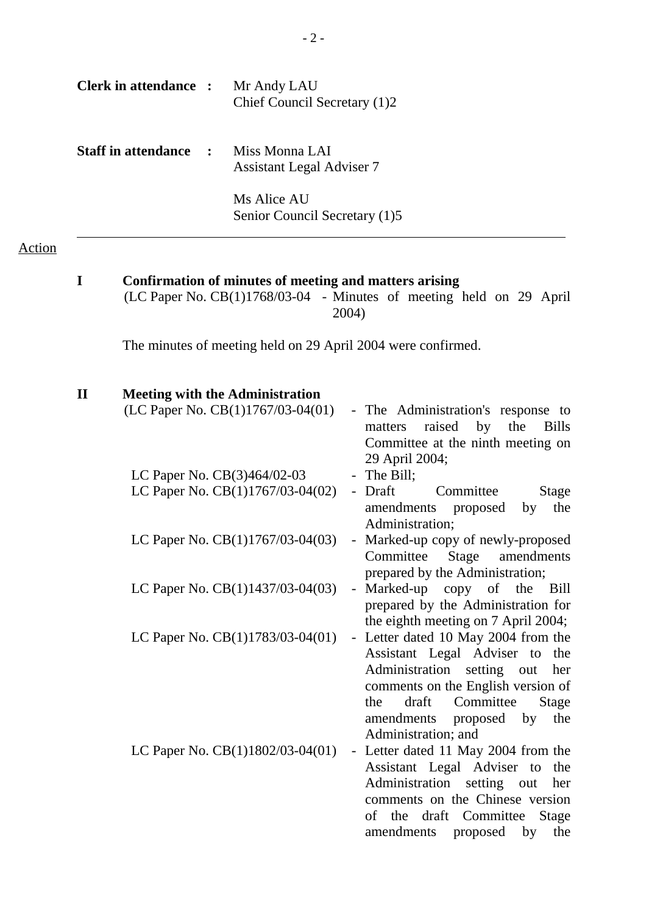|               |              | <b>Clerk in attendance :</b>                 | Mr Andy LAU<br>Chief Council Secretary (1)2                                                                                                                                                                                  |                                                                                                                                                                                                                                                                                                                                                                                                                                                            |
|---------------|--------------|----------------------------------------------|------------------------------------------------------------------------------------------------------------------------------------------------------------------------------------------------------------------------------|------------------------------------------------------------------------------------------------------------------------------------------------------------------------------------------------------------------------------------------------------------------------------------------------------------------------------------------------------------------------------------------------------------------------------------------------------------|
|               |              | <b>Staff in attendance</b><br>$\ddot{\cdot}$ | Miss Monna LAI<br><b>Assistant Legal Adviser 7</b>                                                                                                                                                                           |                                                                                                                                                                                                                                                                                                                                                                                                                                                            |
|               |              |                                              | Ms Alice AU<br>Senior Council Secretary (1)5                                                                                                                                                                                 |                                                                                                                                                                                                                                                                                                                                                                                                                                                            |
| <b>Action</b> |              |                                              |                                                                                                                                                                                                                              |                                                                                                                                                                                                                                                                                                                                                                                                                                                            |
|               | $\mathbf I$  |                                              | Confirmation of minutes of meeting and matters arising                                                                                                                                                                       | (LC Paper No. CB(1)1768/03-04 - Minutes of meeting held on 29 April<br>2004)                                                                                                                                                                                                                                                                                                                                                                               |
|               |              |                                              |                                                                                                                                                                                                                              | The minutes of meeting held on 29 April 2004 were confirmed.                                                                                                                                                                                                                                                                                                                                                                                               |
|               | $\mathbf{I}$ |                                              | <b>Meeting with the Administration</b><br>(LC Paper No. CB(1)1767/03-04(01)<br>LC Paper No. $CB(3)464/02-03$<br>LC Paper No. $CB(1)1767/03-04(02)$<br>LC Paper No. CB(1)1767/03-04(03)<br>LC Paper No. $CB(1)1437/03-04(03)$ | - The Administration's response to<br>raised<br>by the<br><b>Bills</b><br>matters<br>Committee at the ninth meeting on<br>29 April 2004;<br>- The Bill;<br>- Draft<br>Committee<br>Stage<br>the<br>amendments<br>proposed<br>by<br>Administration;<br>Marked-up copy of newly-proposed<br>Committee<br><b>Stage</b><br>amendments<br>prepared by the Administration;<br>Marked-up copy of the Bill<br>$\blacksquare$<br>prepared by the Administration for |
|               |              |                                              | LC Paper No. CB(1)1783/03-04(01)                                                                                                                                                                                             | the eighth meeting on 7 April 2004;<br>Letter dated 10 May 2004 from the<br>$\blacksquare$<br>Assistant Legal Adviser to the<br>Administration setting out<br>her<br>comments on the English version of<br>Committee<br>draft<br>the<br>Stage                                                                                                                                                                                                              |
|               |              |                                              | LC Paper No. CB(1)1802/03-04(01)                                                                                                                                                                                             | proposed by<br>amendments<br>the<br>Administration; and<br>- Letter dated 11 May 2004 from the<br>Assistant Legal Adviser to the<br>Administration setting out<br>her<br>comments on the Chinese version<br>of the draft Committee Stage<br>amendments<br>proposed<br>by<br>the                                                                                                                                                                            |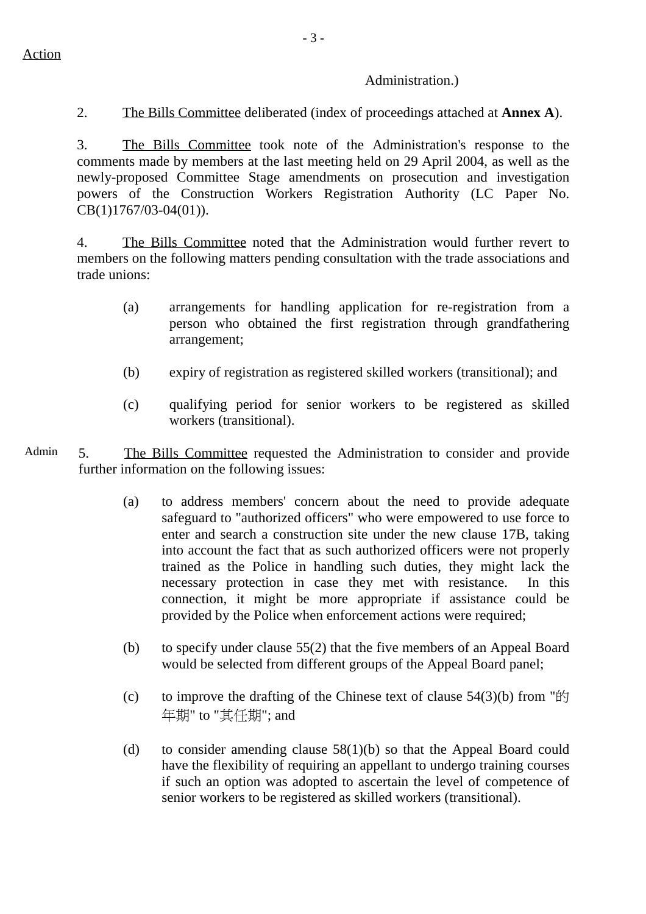### Administration.)

2. The Bills Committee deliberated (index of proceedings attached at **Annex A**).

3. The Bills Committee took note of the Administration's response to the comments made by members at the last meeting held on 29 April 2004, as well as the newly-proposed Committee Stage amendments on prosecution and investigation powers of the Construction Workers Registration Authority (LC Paper No. CB(1)1767/03-04(01)).

4. The Bills Committee noted that the Administration would further revert to members on the following matters pending consultation with the trade associations and trade unions:

- (a) arrangements for handling application for re-registration from a person who obtained the first registration through grandfathering arrangement;
- (b) expiry of registration as registered skilled workers (transitional); and
- (c) qualifying period for senior workers to be registered as skilled workers (transitional).
- Admin 5. The Bills Committee requested the Administration to consider and provide further information on the following issues:
	- (a) to address members' concern about the need to provide adequate safeguard to "authorized officers" who were empowered to use force to enter and search a construction site under the new clause 17B, taking into account the fact that as such authorized officers were not properly trained as the Police in handling such duties, they might lack the necessary protection in case they met with resistance. In this connection, it might be more appropriate if assistance could be provided by the Police when enforcement actions were required;
	- (b) to specify under clause 55(2) that the five members of an Appeal Board would be selected from different groups of the Appeal Board panel;
	- (c) to improve the drafting of the Chinese text of clause  $54(3)(b)$  from " $\dot{F}$ ] 年期" to "其任期"; and
	- (d) to consider amending clause 58(1)(b) so that the Appeal Board could have the flexibility of requiring an appellant to undergo training courses if such an option was adopted to ascertain the level of competence of senior workers to be registered as skilled workers (transitional).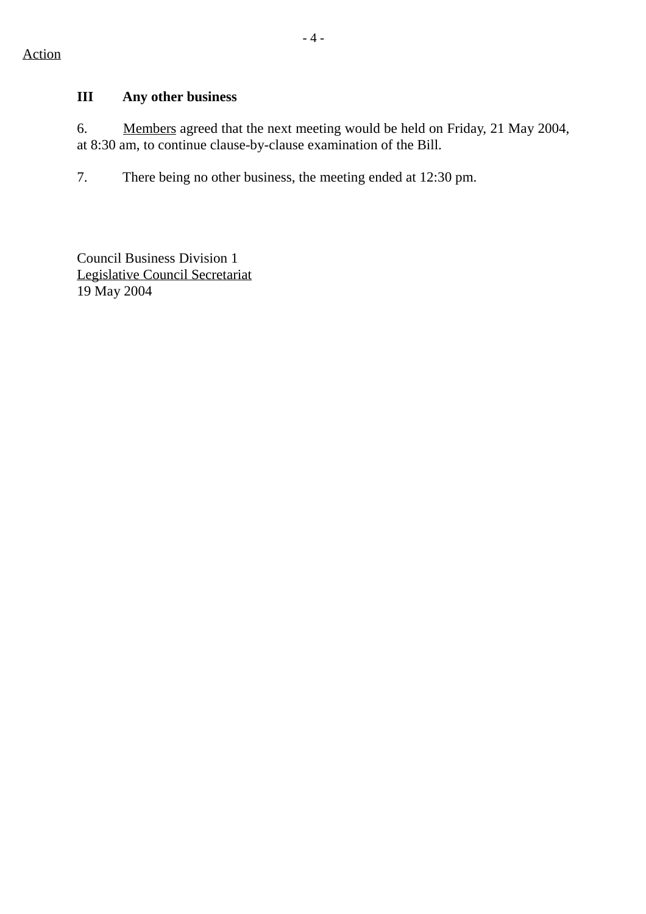## **III Any other business**

6. Members agreed that the next meeting would be held on Friday, 21 May 2004, at 8:30 am, to continue clause-by-clause examination of the Bill.

7. There being no other business, the meeting ended at 12:30 pm.

Council Business Division 1 Legislative Council Secretariat 19 May 2004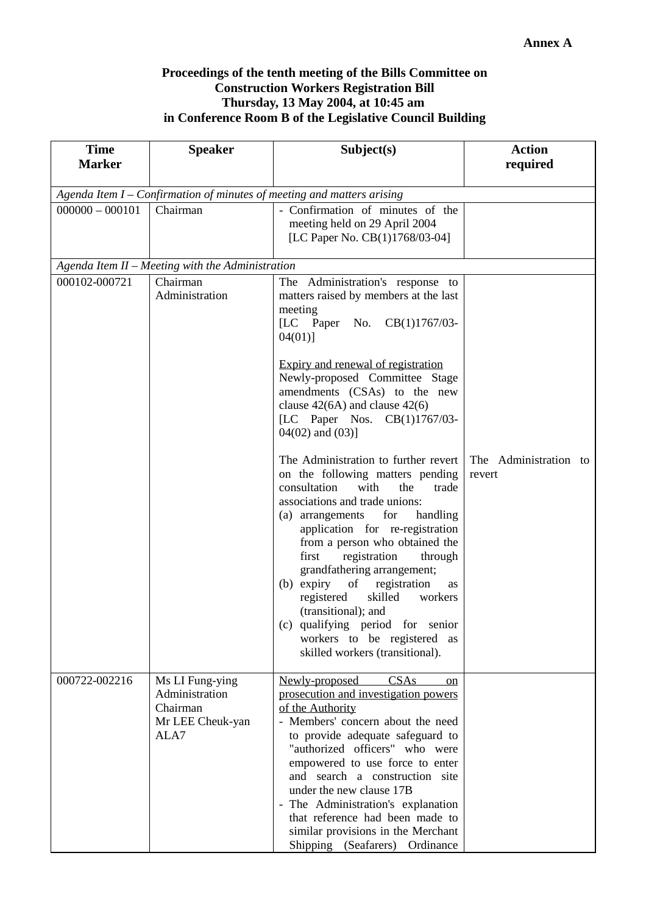#### **Proceedings of the tenth meeting of the Bills Committee on Construction Workers Registration Bill Thursday, 13 May 2004, at 10:45 am in Conference Room B of the Legislative Council Building**

| <b>Time</b><br><b>Marker</b> | <b>Speaker</b>                                                            | Subject(s)                                                                                                                                                                                                                                                                                                                                                                                                                                                                                                                             | <b>Action</b><br>required       |  |  |
|------------------------------|---------------------------------------------------------------------------|----------------------------------------------------------------------------------------------------------------------------------------------------------------------------------------------------------------------------------------------------------------------------------------------------------------------------------------------------------------------------------------------------------------------------------------------------------------------------------------------------------------------------------------|---------------------------------|--|--|
|                              | Agenda Item $I$ – Confirmation of minutes of meeting and matters arising  |                                                                                                                                                                                                                                                                                                                                                                                                                                                                                                                                        |                                 |  |  |
| $000000 - 000101$            | Chairman                                                                  | - Confirmation of minutes of the<br>meeting held on 29 April 2004<br>[LC Paper No. CB(1)1768/03-04]                                                                                                                                                                                                                                                                                                                                                                                                                                    |                                 |  |  |
|                              | Agenda Item II - Meeting with the Administration                          |                                                                                                                                                                                                                                                                                                                                                                                                                                                                                                                                        |                                 |  |  |
| 000102-000721                | Chairman<br>Administration                                                | The Administration's response to<br>matters raised by members at the last<br>meeting<br>[LC Paper No. CB(1)1767/03-<br>$04(01)$ ]                                                                                                                                                                                                                                                                                                                                                                                                      |                                 |  |  |
|                              |                                                                           | Expiry and renewal of registration<br>Newly-proposed Committee Stage<br>amendments (CSAs) to the new<br>clause $42(6A)$ and clause $42(6)$<br>[LC Paper Nos. CB(1)1767/03-<br>$04(02)$ and $(03)$ ]                                                                                                                                                                                                                                                                                                                                    |                                 |  |  |
|                              |                                                                           | The Administration to further revert<br>on the following matters pending<br>consultation<br>with<br>the<br>trade<br>associations and trade unions:<br>for<br>(a) arrangements<br>handling<br>application for re-registration<br>from a person who obtained the<br>registration<br>first<br>through<br>grandfathering arrangement;<br>(b) expiry of registration<br>as<br>registered<br>skilled<br>workers<br>(transitional); and<br>(c) qualifying period for senior<br>workers to be registered as<br>skilled workers (transitional). | The Administration to<br>revert |  |  |
| 000722-002216                | Ms LI Fung-ying<br>Administration<br>Chairman<br>Mr LEE Cheuk-yan<br>ALA7 | CSAs<br>Newly-proposed<br>on<br>prosecution and investigation powers<br>of the Authority<br>- Members' concern about the need<br>to provide adequate safeguard to<br>"authorized officers" who were<br>empowered to use force to enter<br>and search a construction site<br>under the new clause 17B<br>- The Administration's explanation<br>that reference had been made to<br>similar provisions in the Merchant<br>Shipping (Seafarers) Ordinance                                                                                  |                                 |  |  |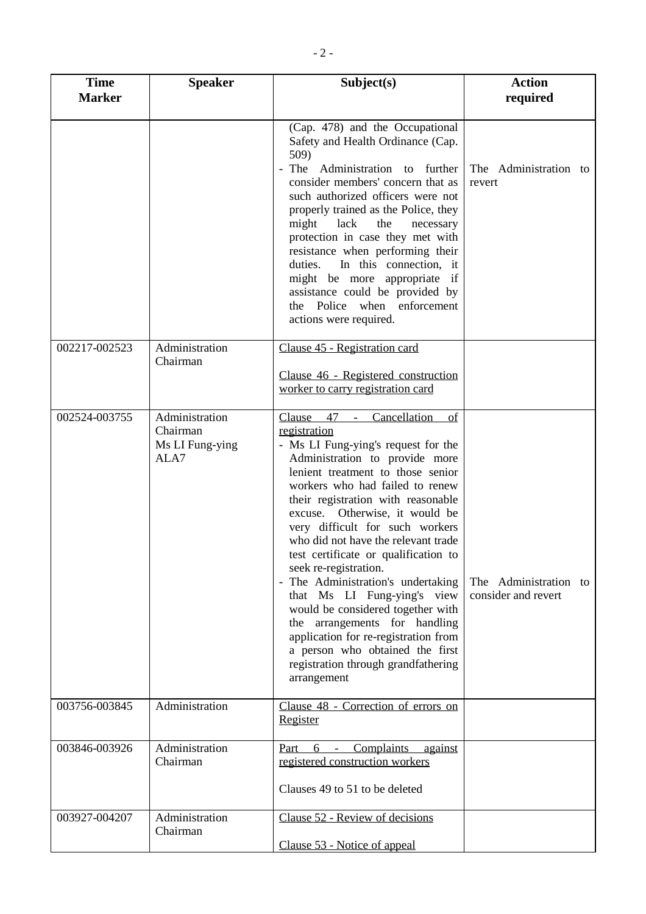| <b>Time</b><br><b>Speaker</b><br><b>Marker</b> |                                                       | Subject(s)                                                                                                                                                                                                                                                                                                                                                                                                                                                                                                                                                                                                                                                                                                                | <b>Action</b><br>required                    |
|------------------------------------------------|-------------------------------------------------------|---------------------------------------------------------------------------------------------------------------------------------------------------------------------------------------------------------------------------------------------------------------------------------------------------------------------------------------------------------------------------------------------------------------------------------------------------------------------------------------------------------------------------------------------------------------------------------------------------------------------------------------------------------------------------------------------------------------------------|----------------------------------------------|
|                                                |                                                       | (Cap. 478) and the Occupational<br>Safety and Health Ordinance (Cap.<br>509)<br>The Administration to further<br>consider members' concern that as<br>such authorized officers were not<br>properly trained as the Police, they<br>might<br>lack<br>the<br>necessary<br>protection in case they met with<br>resistance when performing their<br>duties. In this connection, it<br>might be more appropriate if<br>assistance could be provided by<br>Police when enforcement<br>the<br>actions were required.                                                                                                                                                                                                             | The Administration to<br>revert              |
| 002217-002523                                  | Administration<br>Chairman                            | Clause 45 - Registration card<br>Clause 46 - Registered construction<br>worker to carry registration card                                                                                                                                                                                                                                                                                                                                                                                                                                                                                                                                                                                                                 |                                              |
| 002524-003755                                  | Administration<br>Chairman<br>Ms LI Fung-ying<br>ALA7 | Cancellation<br>Clause<br>47<br>of<br>$\omega_{\rm{max}}$<br>registration<br>- Ms LI Fung-ying's request for the<br>Administration to provide more<br>lenient treatment to those senior<br>workers who had failed to renew<br>their registration with reasonable<br>excuse. Otherwise, it would be<br>very difficult for such workers<br>who did not have the relevant trade<br>test certificate or qualification to<br>seek re-registration.<br>- The Administration's undertaking<br>that Ms LI Fung-ying's view<br>would be considered together with<br>the arrangements for handling<br>application for re-registration from<br>a person who obtained the first<br>registration through grandfathering<br>arrangement | The Administration to<br>consider and revert |
| 003756-003845                                  | Administration                                        | Clause 48 - Correction of errors on<br>Register                                                                                                                                                                                                                                                                                                                                                                                                                                                                                                                                                                                                                                                                           |                                              |
| 003846-003926                                  | Administration<br>Chairman                            | Part 6 - Complaints against<br>registered construction workers<br>Clauses 49 to 51 to be deleted                                                                                                                                                                                                                                                                                                                                                                                                                                                                                                                                                                                                                          |                                              |
| 003927-004207                                  | Administration<br>Chairman                            | Clause 52 - Review of decisions<br>Clause 53 - Notice of appeal                                                                                                                                                                                                                                                                                                                                                                                                                                                                                                                                                                                                                                                           |                                              |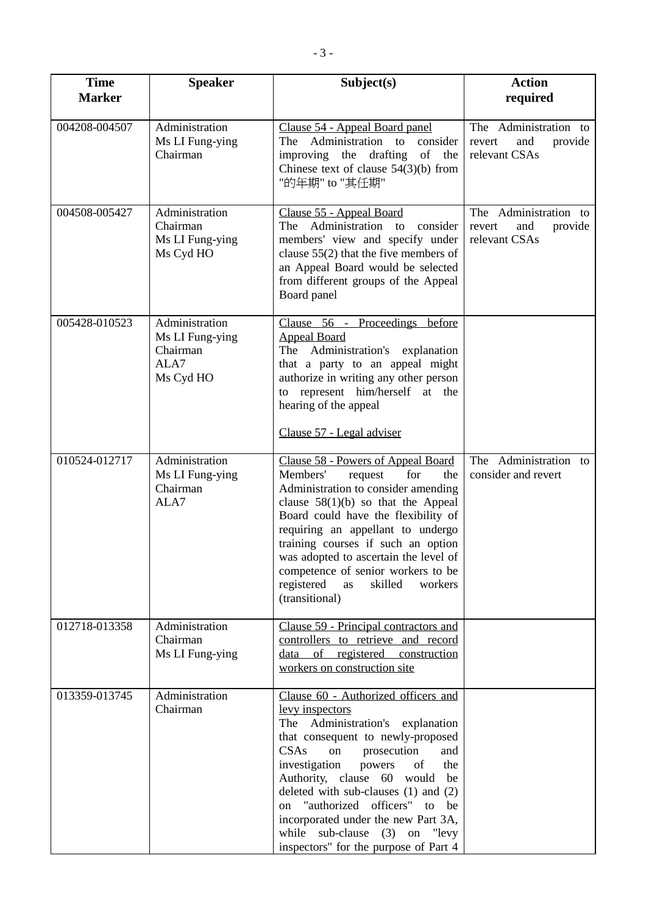| <b>Time</b><br><b>Marker</b> | <b>Speaker</b>                                                     | Subject(s)                                                                                                                                                                                                                                                                                                                                                                                                                                     | <b>Action</b><br>required                                          |
|------------------------------|--------------------------------------------------------------------|------------------------------------------------------------------------------------------------------------------------------------------------------------------------------------------------------------------------------------------------------------------------------------------------------------------------------------------------------------------------------------------------------------------------------------------------|--------------------------------------------------------------------|
| 004208-004507                | Administration<br>Ms LI Fung-ying<br>Chairman                      | Clause 54 - Appeal Board panel<br>The Administration to consider<br>improving the drafting of the<br>Chinese text of clause $54(3)(b)$ from<br>"的年期" to "其任期"                                                                                                                                                                                                                                                                                  | The Administration to<br>revert<br>and<br>provide<br>relevant CSAs |
| 004508-005427                | Administration<br>Chairman<br>Ms LI Fung-ying<br>Ms Cyd HO         | Clause 55 - Appeal Board<br>The Administration to<br>consider<br>members' view and specify under<br>clause $55(2)$ that the five members of<br>an Appeal Board would be selected<br>from different groups of the Appeal<br>Board panel                                                                                                                                                                                                         | The Administration to<br>revert<br>and<br>provide<br>relevant CSAs |
| 005428-010523                | Administration<br>Ms LI Fung-ying<br>Chairman<br>ALA7<br>Ms Cyd HO | Clause 56 - Proceedings before<br><b>Appeal Board</b><br>The Administration's explanation<br>that a party to an appeal might<br>authorize in writing any other person<br>to represent him/herself at the<br>hearing of the appeal                                                                                                                                                                                                              |                                                                    |
|                              |                                                                    | Clause 57 - Legal adviser                                                                                                                                                                                                                                                                                                                                                                                                                      |                                                                    |
| 010524-012717                | Administration<br>Ms LI Fung-ying<br>Chairman<br>ALA7              | Clause 58 - Powers of Appeal Board<br>for<br>Members'<br>request<br>the<br>Administration to consider amending<br>clause $58(1)(b)$ so that the Appeal<br>Board could have the flexibility of<br>requiring an appellant to undergo<br>training courses if such an option<br>was adopted to ascertain the level of<br>competence of senior workers to be<br>registered<br>as<br>skilled<br>workers<br>(transitional)                            | The Administration to<br>consider and revert                       |
| 012718-013358                | Administration<br>Chairman<br>Ms LI Fung-ying                      | Clause 59 - Principal contractors and<br>controllers to retrieve and record<br>data of registered construction<br>workers on construction site                                                                                                                                                                                                                                                                                                 |                                                                    |
| 013359-013745                | Administration<br>Chairman                                         | Clause 60 - Authorized officers and<br>levy inspectors<br>The Administration's explanation<br>that consequent to newly-proposed<br>CSAs<br>prosecution<br>on<br>and<br>investigation<br>the<br>powers<br>of<br>Authority, clause 60 would<br>be<br>deleted with sub-clauses $(1)$ and $(2)$<br>on "authorized officers" to be<br>incorporated under the new Part 3A,<br>while sub-clause (3) on "levy<br>inspectors" for the purpose of Part 4 |                                                                    |